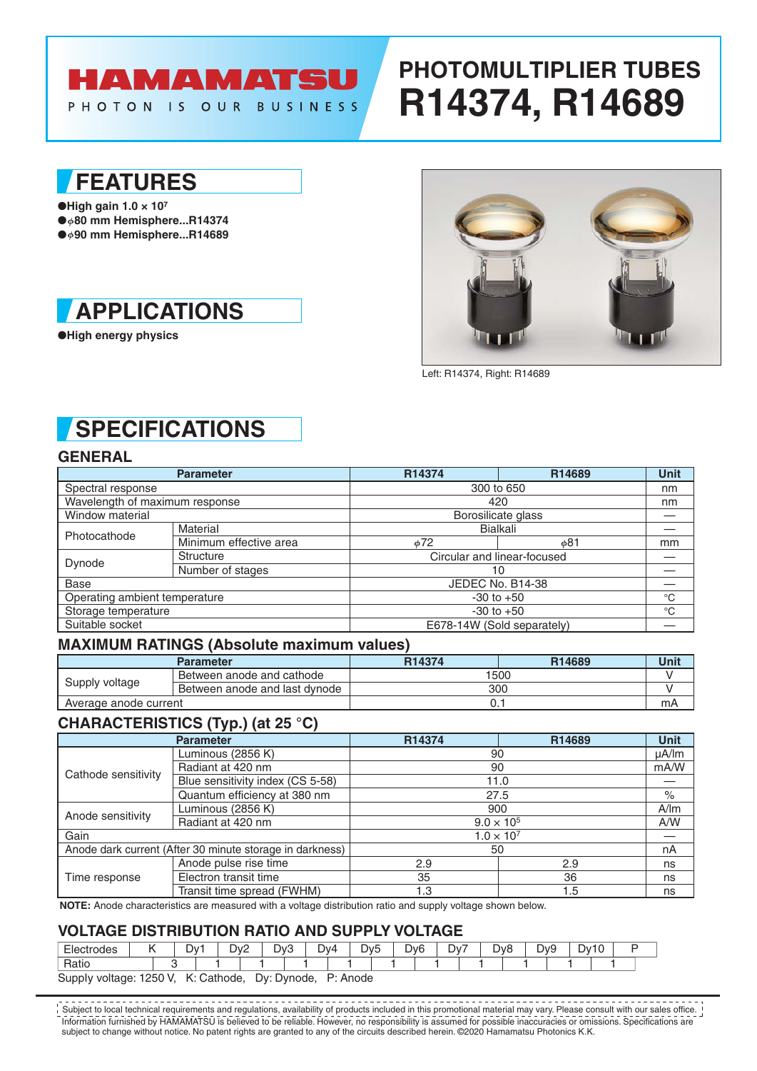# HAMAMATSU

#### PHOTON IS OUR BUSINESS

# **PHOTOMULTIPLIER TUBES R14374, R14689**

## **FEATURES**

●**High gain 1.0 × 107** ● **80 mm Hemisphere...R14374** ● **90 mm Hemisphere...R14689**



●**High energy physics**



Left: R14374, Right: R14689

## **SPECIFICATIONS**

### **GENERAL**

|                                | <b>Parameter</b>       | R14374                      | R14689      | <b>Unit</b> |  |  |  |  |
|--------------------------------|------------------------|-----------------------------|-------------|-------------|--|--|--|--|
| Spectral response              |                        | 300 to 650                  | nm          |             |  |  |  |  |
| Wavelength of maximum response |                        |                             | 420         |             |  |  |  |  |
| Window material                |                        | Borosilicate glass          |             |             |  |  |  |  |
| Photocathode                   | Material               |                             | Bialkali    |             |  |  |  |  |
|                                | Minimum effective area | $\phi$ 72                   | φ81         | mm          |  |  |  |  |
| Dynode                         | <b>Structure</b>       | Circular and linear-focused |             |             |  |  |  |  |
|                                | Number of stages       | 10                          |             |             |  |  |  |  |
| Base                           |                        | JEDEC No. B14-38            |             |             |  |  |  |  |
| Operating ambient temperature  |                        | $-30$ to $+50$              | $^{\circ}C$ |             |  |  |  |  |
| Storage temperature            |                        | $-30$ to $+50$              | $^{\circ}C$ |             |  |  |  |  |
| Suitable socket                |                        | E678-14W (Sold separately)  |             |             |  |  |  |  |

#### **MAXIMUM RATINGS (Absolute maximum values)**

|                       | <b>Parameter</b>              | R <sub>14374</sub> | R14689 | Unit |  |  |  |
|-----------------------|-------------------------------|--------------------|--------|------|--|--|--|
| Supply voltage        | Between anode and cathode     | 1500               |        |      |  |  |  |
|                       | Between anode and last dynode | 300                |        |      |  |  |  |
| Average anode current |                               |                    |        |      |  |  |  |

### **CHARACTERISTICS (Typ.) (at 25 °C)**

|                                                          | <b>Parameter</b>                 | R14374              | R14689 | <b>Unit</b> |  |  |  |  |
|----------------------------------------------------------|----------------------------------|---------------------|--------|-------------|--|--|--|--|
| Cathode sensitivity                                      | Luminous (2856 K)                | 90                  |        |             |  |  |  |  |
|                                                          | Radiant at 420 nm                | 90                  |        |             |  |  |  |  |
|                                                          | Blue sensitivity index (CS 5-58) | 11.0                |        |             |  |  |  |  |
|                                                          | Quantum efficiency at 380 nm     | 27.5                |        |             |  |  |  |  |
| Anode sensitivity                                        | Luminous (2856 K)                | 900                 |        |             |  |  |  |  |
|                                                          | Radiant at 420 nm                | $9.0 \times 10^{5}$ | A/W    |             |  |  |  |  |
| Gain                                                     |                                  | $1.0 \times 10^{7}$ |        |             |  |  |  |  |
| Anode dark current (After 30 minute storage in darkness) |                                  | 50                  |        | nA          |  |  |  |  |
| Time response                                            | Anode pulse rise time            | 2.9                 | 2.9    | ns          |  |  |  |  |
|                                                          | Electron transit time            | 35                  | 36     | ns          |  |  |  |  |
|                                                          | Transit time spread (FWHM)       | 1.3                 | 1.5    | ns          |  |  |  |  |

**NOTE:** Anode characteristics are measured with a voltage distribution ratio and supply voltage shown below.

#### **VOLTAGE DISTRIBUTION RATIO AND SUPPLY VOLTAGE**

| Electrodes                                |  | D۷ |  |  | Dv2<br><u>_</u> |             | Dv3 |          | Dv4 |  | D <sub>v</sub> <sub>5</sub> | Dv <sub>6</sub> |  | Dv7 |  | D <sub>v</sub> 8 |  | Dv9 | ືບ∨ |  |  |  |
|-------------------------------------------|--|----|--|--|-----------------|-------------|-----|----------|-----|--|-----------------------------|-----------------|--|-----|--|------------------|--|-----|-----|--|--|--|
| Ratio                                     |  |    |  |  |                 |             |     |          |     |  |                             |                 |  |     |  |                  |  |     |     |  |  |  |
| K: Cathode,<br>1250 V.<br>Supply voltage: |  |    |  |  |                 | Dy: Dynode, |     | P: Anode |     |  |                             |                 |  |     |  |                  |  |     |     |  |  |  |

Information furnished by HAMAMATSU is believed to be reliable. However, no responsibility is assumed for possible inaccuracies or omissions. Specifications are subject to change without notice. No patent rights are granted to any of the circuits described herein. ©2020 Hamamatsu Photonics K.K. Subject to local technical requirements and regulations, availability of products included in this promotional material may vary. Please consult with our sales office.